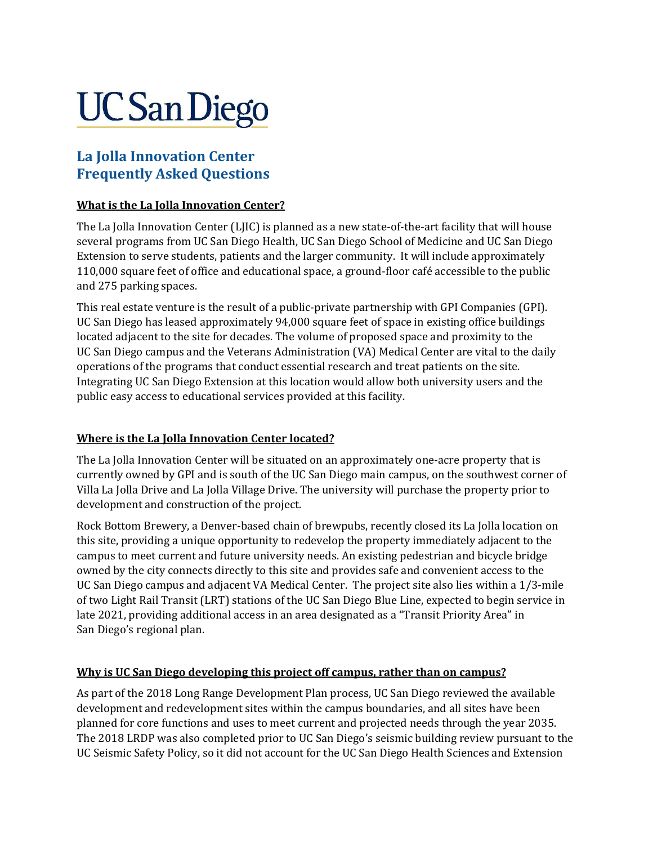# **UC San Diego**

# **La Jolla Innovation Center Frequently Asked Questions**

#### **What is the La Jolla Innovation Center?**

The La Jolla Innovation Center (LJIC) is planned as a new state-of-the-art facility that will house several programs from UC San Diego Health, UC San Diego School of Medicine and UC San Diego Extension to serve students, patients and the larger community. It will include approximately 110,000 square feet of office and educational space, a ground-floor café accessible to the public and 275 parking spaces.

This real estate venture is the result of a public-private partnership with GPI Companies (GPI). UC San Diego has leased approximately 94,000 square feet of space in existing office buildings located adjacent to the site for decades. The volume of proposed space and proximity to the UC San Diego campus and the Veterans Administration (VA) Medical Center are vital to the daily operations of the programs that conduct essential research and treat patients on the site. Integrating UC San Diego Extension at this location would allow both university users and the public easy access to educational services provided at this facility.

#### **Where is the La Jolla Innovation Center located?**

The La Jolla Innovation Center will be situated on an approximately one-acre property that is currently owned by GPI and is south of the UC San Diego main campus, on the southwest corner of Villa La Jolla Drive and La Jolla Village Drive. The university will purchase the property prior to development and construction of the project.

Rock Bottom Brewery, a Denver-based chain of brewpubs, recently closed its La Jolla location on this site, providing a unique opportunity to redevelop the property immediately adjacent to the campus to meet current and future university needs. An existing pedestrian and bicycle bridge owned by the city connects directly to this site and provides safe and convenient access to the UC San Diego campus and adjacent VA Medical Center. The project site also lies within a 1/3-mile of two Light Rail Transit (LRT) stations of the UC San Diego Blue Line, expected to begin service in late 2021, providing additional access in an area designated as a "Transit Priority Area" in San Diego's regional plan.

#### **Why is UC San Diego developing this project off campus, rather than on campus?**

As part of the 2018 Long Range Development Plan process, UC San Diego reviewed the available development and redevelopment sites within the campus boundaries, and all sites have been planned for core functions and uses to meet current and projected needs through the year 2035. The 2018 LRDP was also completed prior to UC San Diego's seismic building review pursuant to the UC Seismic Safety Policy, so it did not account for the UC San Diego Health Sciences and Extension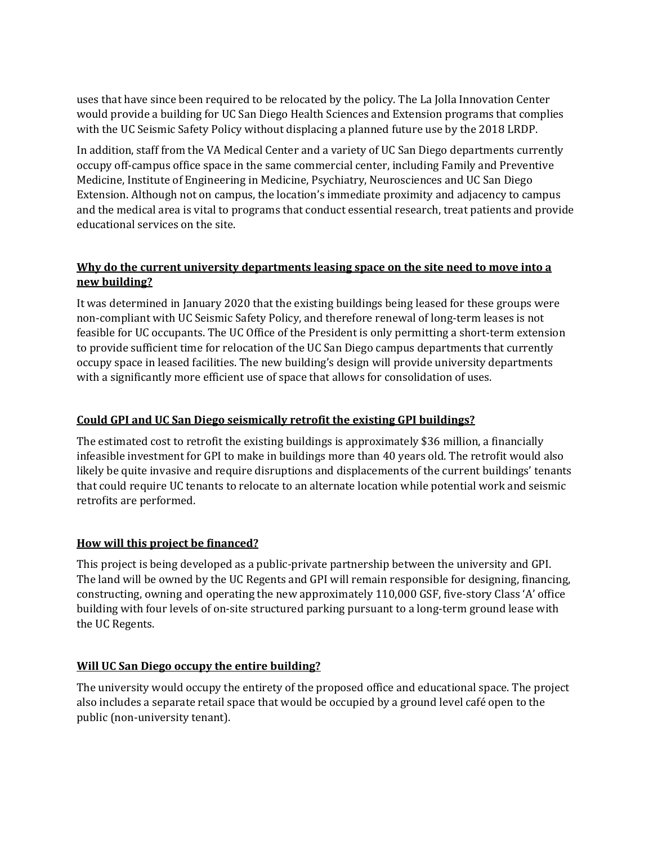uses that have since been required to be relocated by the policy. The La Jolla Innovation Center would provide a building for UC San Diego Health Sciences and Extension programs that complies with the UC Seismic Safety Policy without displacing a planned future use by the 2018 LRDP.

In addition, staff from the VA Medical Center and a variety of UC San Diego departments currently occupy off-campus office space in the same commercial center, including Family and Preventive Medicine, Institute of Engineering in Medicine, Psychiatry, Neurosciences and UC San Diego Extension. Although not on campus, the location's immediate proximity and adjacency to campus and the medical area is vital to programs that conduct essential research, treat patients and provide educational services on the site.

#### **Why do the current university departments leasing space on the site need to move into a new building?**

It was determined in January 2020 that the existing buildings being leased for these groups were non-compliant with UC Seismic Safety Policy, and therefore renewal of long-term leases is not feasible for UC occupants. The UC Office of the President is only permitting a short-term extension to provide sufficient time for relocation of the UC San Diego campus departments that currently occupy space in leased facilities. The new building's design will provide university departments with a significantly more efficient use of space that allows for consolidation of uses.

#### **Could GPI and UC San Diego seismically retrofit the existing GPI buildings?**

The estimated cost to retrofit the existing buildings is approximately \$36 million, a financially infeasible investment for GPI to make in buildings more than 40 years old. The retrofit would also likely be quite invasive and require disruptions and displacements of the current buildings' tenants that could require UC tenants to relocate to an alternate location while potential work and seismic retrofits are performed.

#### **How will this project be financed?**

This project is being developed as a public-private partnership between the university and GPI. The land will be owned by the UC Regents and GPI will remain responsible for designing, financing, constructing, owning and operating the new approximately 110,000 GSF, five-story Class 'A' office building with four levels of on-site structured parking pursuant to a long-term ground lease with the UC Regents.

#### **Will UC San Diego occupy the entire building?**

The university would occupy the entirety of the proposed office and educational space. The project also includes a separate retail space that would be occupied by a ground level café open to the public (non-university tenant).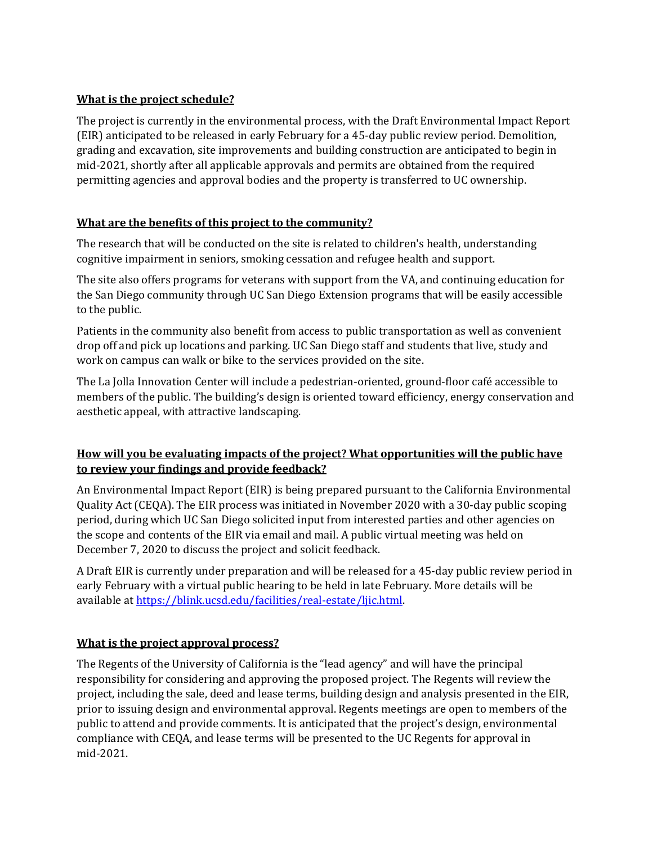#### **What is the project schedule?**

The project is currently in the environmental process, with the Draft Environmental Impact Report (EIR) anticipated to be released in early February for a 45-day public review period. Demolition, grading and excavation, site improvements and building construction are anticipated to begin in mid-2021, shortly after all applicable approvals and permits are obtained from the required permitting agencies and approval bodies and the property is transferred to UC ownership.

#### **What are the benefits of this project to the community?**

The research that will be conducted on the site is related to children's health, understanding cognitive impairment in seniors, smoking cessation and refugee health and support.

The site also offers programs for veterans with support from the VA, and continuing education for the San Diego community through UC San Diego Extension programs that will be easily accessible to the public.

Patients in the community also benefit from access to public transportation as well as convenient drop off and pick up locations and parking. UC San Diego staff and students that live, study and work on campus can walk or bike to the services provided on the site.

The La Jolla Innovation Center will include a pedestrian-oriented, ground-floor café accessible to members of the public. The building's design is oriented toward efficiency, energy conservation and aesthetic appeal, with attractive landscaping.

# **How will you be evaluating impacts of the project? What opportunities will the public have to review your findings and provide feedback?**

An Environmental Impact Report (EIR) is being prepared pursuant to the California Environmental Quality Act (CEQA). The EIR process was initiated in November 2020 with a 30-day public scoping period, during which UC San Diego solicited input from interested parties and other agencies on the scope and contents of the EIR via email and mail. A public virtual meeting was held on December 7, 2020 to discuss the project and solicit feedback.

A Draft EIR is currently under preparation and will be released for a 45-day public review period in early February with a virtual public hearing to be held in late February. More details will be available at https://blink.ucsd.edu/facilities/real-estate/ljic.html.

#### **What is the project approval process?**

The Regents of the University of California is the "lead agency" and will have the principal responsibility for considering and approving the proposed project. The Regents will review the project, including the sale, deed and lease terms, building design and analysis presented in the EIR, prior to issuing design and environmental approval. Regents meetings are open to members of the public to attend and provide comments. It is anticipated that the project's design, environmental compliance with CEQA, and lease terms will be presented to the UC Regents for approval in mid-2021.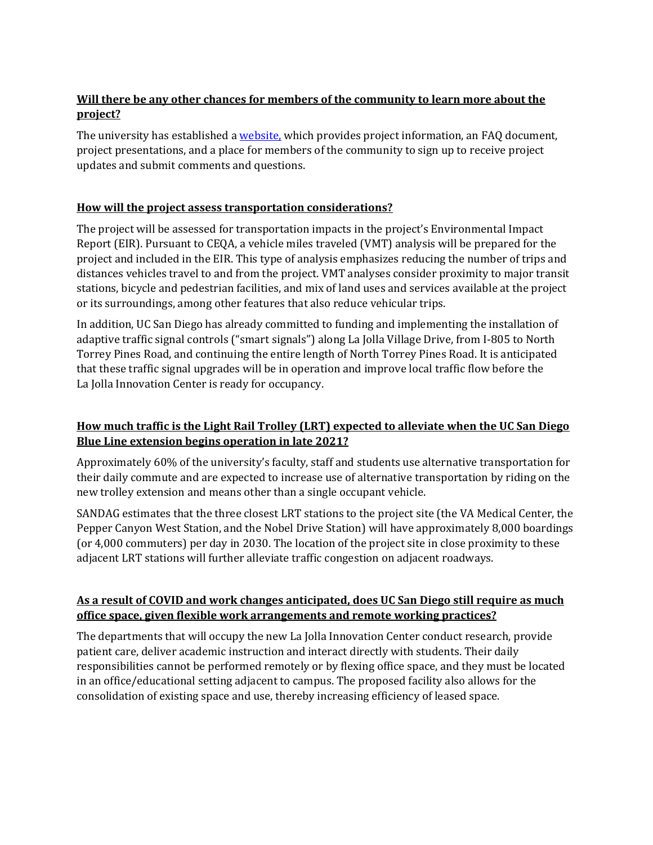# **Will there be any other chances for members of the community to learn more about the project?**

The university has established a [website,](https://blink.ucsd.edu/facilities/real-estate/ljic.html) which provides project information, an FAQ document, project presentations, and a place for members of the community to sign up to receive project updates and submit comments and questions.

#### **How will the project assess transportation considerations?**

The project will be assessed for transportation impacts in the project's Environmental Impact Report (EIR). Pursuant to CEQA, a vehicle miles traveled (VMT) analysis will be prepared for the project and included in the EIR. This type of analysis emphasizes reducing the number of trips and distances vehicles travel to and from the project. VMT analyses consider proximity to major transit stations, bicycle and pedestrian facilities, and mix of land uses and services available at the project or its surroundings, among other features that also reduce vehicular trips.

In addition, UC San Diego has already committed to funding and implementing the installation of adaptive traffic signal controls ("smart signals") along La Jolla Village Drive, from I-805 to North Torrey Pines Road, and continuing the entire length of North Torrey Pines Road. It is anticipated that these traffic signal upgrades will be in operation and improve local traffic flow before the La Jolla Innovation Center is ready for occupancy.

#### **How much traffic is the Light Rail Trolley (LRT) expected to alleviate when the UC San Diego Blue Line extension begins operation in late 2021?**

Approximately 60% of the university's faculty, staff and students use alternative transportation for their daily commute and are expected to increase use of alternative transportation by riding on the new trolley extension and means other than a single occupant vehicle.

SANDAG estimates that the three closest LRT stations to the project site (the VA Medical Center, the Pepper Canyon West Station, and the Nobel Drive Station) will have approximately 8,000 boardings (or 4,000 commuters) per day in 2030. The location of the project site in close proximity to these adjacent LRT stations will further alleviate traffic congestion on adjacent roadways.

#### **As a result of COVID and work changes anticipated, does UC San Diego still require as much office space, given flexible work arrangements and remote working practices?**

The departments that will occupy the new La Jolla Innovation Center conduct research, provide patient care, deliver academic instruction and interact directly with students. Their daily responsibilities cannot be performed remotely or by flexing office space, and they must be located in an office/educational setting adjacent to campus. The proposed facility also allows for the consolidation of existing space and use, thereby increasing efficiency of leased space.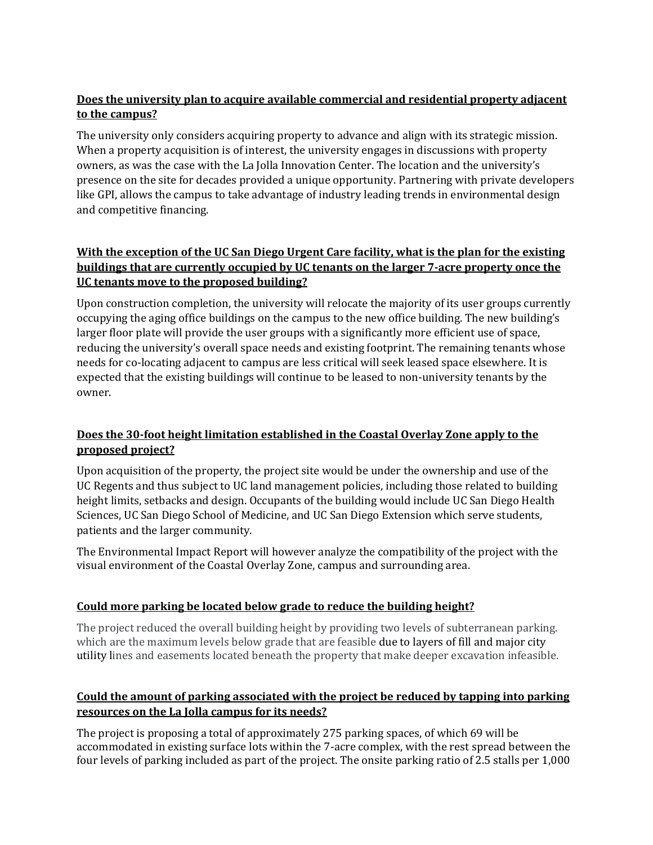# **Does the university plan to acquire available commercial and residential property adjacent to the campus?**

The university only considers acquiring property to advance and align with its strategic mission. When a property acquisition is of interest, the university engages in discussions with property owners, as was the case with the La Jolla Innovation Center. The location and the university's presence on the site for decades provided a unique opportunity. Partnering with private developers like GPI, allows the campus to take advantage of industry leading trends in environmental design and competitive financing.

# **With the exception of the UC San Diego Urgent Care facility, what is the plan for the existing buildings that are currently occupied by UC tenants on the larger 7-acre property once the UC tenants move to the proposed building?**

Upon construction completion, the university will relocate the majority of its user groups currently occupying the aging office buildings on the campus to the new office building. The new building's larger floor plate will provide the user groups with a significantly more efficient use of space, reducing the university's overall space needs and existing footprint. The remaining tenants whose needs for co-locating adjacent to campus are less critical will seek leased space elsewhere. It is expected that the existing buildings will continue to be leased to non-university tenants by the owner.

# **Does the 30-foot height limitation established in the Coastal Overlay Zone apply to the proposed project?**

Upon acquisition of the property, the project site would be under the ownership and use of the UC Regents and thus subject to UC land management policies, including those related to building height limits, setbacks and design. Occupants of the building would include UC San Diego Health Sciences, UC San Diego School of Medicine, and UC San Diego Extension which serve students, patients and the larger community.

The Environmental Impact Report will however analyze the compatibility of the project with the visual environment of the Coastal Overlay Zone, campus and surrounding area.

#### **Could more parking be located below grade to reduce the building height?**

The project reduced the overall building height by providing two levels of subterranean parking. which are the maximum levels below grade that are feasible due to layers of fill and major city utility lines and easements located beneath the property that make deeper excavation infeasible.

#### **Could the amount of parking associated with the project be reduced by tapping into parking resources on the La Jolla campus for its needs?**

The project is proposing a total of approximately 275 parking spaces, of which 69 will be accommodated in existing surface lots within the 7-acre complex, with the rest spread between the four levels of parking included as part of the project. The onsite parking ratio of 2.5 stalls per 1,000